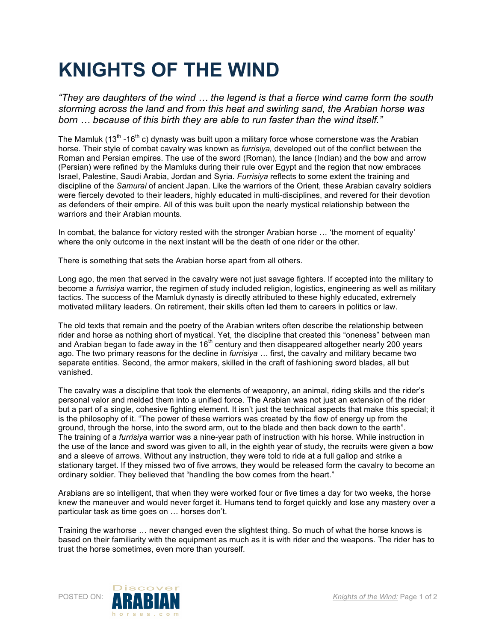## **KNIGHTS OF THE WIND**

*"They are daughters of the wind … the legend is that a fierce wind came form the south storming across the land and from this heat and swirling sand, the Arabian horse was born … because of this birth they are able to run faster than the wind itself."*

The Mamluk (13<sup>th</sup> -16<sup>th</sup> c) dynasty was built upon a military force whose cornerstone was the Arabian horse. Their style of combat cavalry was known as *furrisiya,* developed out of the conflict between the Roman and Persian empires. The use of the sword (Roman), the lance (Indian) and the bow and arrow (Persian) were refined by the Mamluks during their rule over Egypt and the region that now embraces Israel, Palestine, Saudi Arabia, Jordan and Syria. *Furrisiya* reflects to some extent the training and discipline of the *Samurai* of ancient Japan. Like the warriors of the Orient, these Arabian cavalry soldiers were fiercely devoted to their leaders, highly educated in multi-disciplines, and revered for their devotion as defenders of their empire. All of this was built upon the nearly mystical relationship between the warriors and their Arabian mounts.

In combat, the balance for victory rested with the stronger Arabian horse … 'the moment of equality' where the only outcome in the next instant will be the death of one rider or the other.

There is something that sets the Arabian horse apart from all others.

Long ago, the men that served in the cavalry were not just savage fighters. If accepted into the military to become a *furrisiya* warrior, the regimen of study included religion, logistics, engineering as well as military tactics. The success of the Mamluk dynasty is directly attributed to these highly educated, extremely motivated military leaders. On retirement, their skills often led them to careers in politics or law.

The old texts that remain and the poetry of the Arabian writers often describe the relationship between rider and horse as nothing short of mystical. Yet, the discipline that created this "oneness" between man and Arabian began to fade away in the  $16<sup>th</sup>$  century and then disappeared altogether nearly 200 years ago. The two primary reasons for the decline in *furrisiya …* first, the cavalry and military became two separate entities. Second, the armor makers, skilled in the craft of fashioning sword blades, all but vanished.

The cavalry was a discipline that took the elements of weaponry, an animal, riding skills and the rider's personal valor and melded them into a unified force. The Arabian was not just an extension of the rider but a part of a single, cohesive fighting element. It isn't just the technical aspects that make this special; it is the philosophy of it. "The power of these warriors was created by the flow of energy up from the ground, through the horse, into the sword arm, out to the blade and then back down to the earth". The training of a *furrisiya* warrior was a nine-year path of instruction with his horse. While instruction in the use of the lance and sword was given to all, in the eighth year of study, the recruits were given a bow and a sleeve of arrows. Without any instruction, they were told to ride at a full gallop and strike a stationary target. If they missed two of five arrows, they would be released form the cavalry to become an ordinary soldier. They believed that "handling the bow comes from the heart."

Arabians are so intelligent, that when they were worked four or five times a day for two weeks, the horse knew the maneuver and would never forget it. Humans tend to forget quickly and lose any mastery over a particular task as time goes on … horses don't.

Training the warhorse … never changed even the slightest thing. So much of what the horse knows is based on their familiarity with the equipment as much as it is with rider and the weapons. The rider has to trust the horse sometimes, even more than yourself.